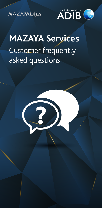**MAZAYALIJo** 



# **MAZAYA Services**  Customer frequently asked questions

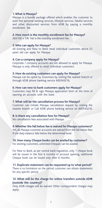#### **1. What is Mazaya?**

Mazaya is a bundle package offered which enables the customer to avail free personal banking services, lifestyle services, Takaful services and other discounted services from ADIB by paying a monthly enrollment fee.

**2. How much is the monthly enrollment fee for Mazaya?** AED100 + 5% Vat is the monthly enrollment fee.

#### **3. Who can apply for Mazaya?**

All Existing and New to Bank retail individual customers above 21 years old can apply for Mazaya.

#### **4. Can a company apply for Mazaya?**

Corporate / company accounts are not allowed to apply for Mazaya. Mazaya is only offered to retail individual customers.

#### **5. How do existing customers can apply for Mazaya?**

Mazaya can be opted by customers by visiting the nearest branch or through ADIB phone banking service 600543216.

# **6. How can new to bank customers apply for Mazaya?**

Customers may fill & sign Mazaya application form at the time of opening an account with the bank.

#### **7. What will be the cancellation process for Mazaya?**

Customer can initiate Mazaya cancellation request by visiting the nearest branch or Call ADIB phone banking service on 600543216.

#### **8. Is there any cancellation fees for Mazaya?**

No cancellation fees associated with Mazaya.

#### **9. Whether the fall below fee is waived for Mazaya customers?**

Yes, all Mazaya customer accounts are waived from the fall below fees if the daily balance falls below the determined level.

# **10. How many Cheque books can be availed by customer?**

For existing customers, unlimited Cheques can be availed.

For New to Bank, as per central bank regulation, only 1 cheque book will be issued in the first 6 months of account opening, additional Cheque book can be issued only after 6 months.

**11. Duplicate statement can be requested up to what period?** There is no limitation on the period; customer can obtain statements for any specific period.

# **12. What will be the charge for online transfers outside ADIB (outside the country)?**

Only ADIB charges will be waived. Other correspondent charges may apply.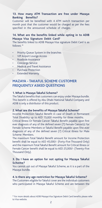# **13. How many ATM Transaction are free under Mazaya Banking Benefits?**

Customer will be benefited with 4 ATM switch transaction per month post that the customer would be charged as per the fees specified in the announced schedule of charges.

# **14. What are the benefits linked while opting in to ADIB Mazaya Visa Signature Debit Card?**

The benefits linked to ADIB Mazaya Visa signature Debit Card is as follows: \*

- Priority Queue System in the branches
- VIP Airport Lounge Access
- Roadside Assistance
- Concierge Service
- Medical and Travel Assistance
- Purchase Protection
- **Extended Warranty**

# **MAZAYA - TAKAFUL SCHEME CUSTOMER FREQUENTLY ASKED QUESTIONS**

#### **1. What is Mazaya Takaful Scheme?**

The Takaful benefits that customers can enjoy under Mazaya bundle. This benefit is offered by Abu Dhabi National Takaful Company and ADIB is only a distributor of this product.

# **2. What are the benefits of Mazaya Takaful Scheme?**

Income Protection: Takaful Benefit in case of Death or Permanent Total Disability up to AED 15,000 monthly for three months.

Critical Illness Or Female Cancer: Takaful Benefit payable upon first ever diagnosis of any of the defined seven (7) Female Cancer(s) for Female Scheme Members or Takaful Benefit payable upon first ever diagnosis of any of the defined seven (7) Critical illness for Male Scheme Members.

The maximum Total Takaful Benefit amount for Income Protection benefit shall be equal to AED 45,000/- (Forty-Five Thousand Only) and the maximum Total Takaful Benefit amount for Critical Illness or Female Cancer benefit shall be equal to AED 25,000/- (Twenty-Five Thousand Only).

# **3. Do I have an option for not opting for Mazaya Takaful Scheme?**

You cannot opt out of Mazaya Takaful Scheme, as it is a part of the Mazaya bundle.

#### **4. Is there any age restriction for Mazaya Takaful Scheme?**

The Customers eligible for Takaful cover are the individual customers who participated in Mazaya Takaful Scheme and are between the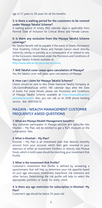age of 21 years to 59 years for all the benefits.

# **5. Is there a waiting period for the customers to be covered under Mazaya Takaful Scheme?**

A waiting period of ninety (90) calendar days is applicable from Normal Date of Inclusion for Critical Illness and Female Cancer.

# **6. Is there any exclusion from the Mazaya Takaful Scheme coverage?**

No Takaful Benefit will be payable if the event of Death, Permanent Total Disability, Critical Illness and Female Cancer result directly, indirectly, wholly or partially as a consequence of or related to any of the Exclusions mentioned under the Provisions and Conditions of Mazaya Takaful Scheme available at

http://www.adib.ae/en/personal/accounts.

# **7. Will Takaful cover cease upon cancelation of Mazaya?**

Yes, the Takaful cover will cease upon cancelation of Mazaya.

#### **8. How can I claim for Mazaya Takaful Scheme?**

Claims should be sent to Abu Dhabi National Takaful Company at Life.Claims@takaful.ae within 180 calendar days after the Date of Event. For more details, please see Provisions and Conditions of Mazaya Takaful Scheme available at http://www.adib.ae/en/ personal/accounts. Also, you can call us on ADIB phone banking service. dial 600543216.

# **MAZAYA - WEALTH MANAGEMENT CUSTOMER FREQUENTLY ASKED QUESTIONS**

#### **1. What are Mazaya Wealth Management benefits?**

Any customer participates in Mazaya services and subscribe into Khuttati – My Plan, will be entitled to get a %25 discount on the subscription fees.

#### **2. What is Khuttati – My Plan?**

Khuttati – My Plan is an investment plan that deducts monthly amount from your account, which then gets invested in your selection of either an Investment Portfolio or directly into Mutual Funds, which in both cases should be matching your investment Risk Profile.

#### **3. What is the investment Risk Profile?**

Customer's investment Risk Profile is defined by answering a questionnaire that will help to determine your risk appetite based on your age, education, investment experience, risk tolerance and other factors. Determining the risk profile will help to select the appropriate portfolio or funds for every client.

# **4. Is there any age restriction for subscription in Khuttati- My Plan?**

Customer's age should be below 55 years old.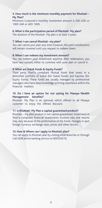#### **5. How much is the minimum monthly payment for Khuttati – My Plan?**

Minimum Customer's monthly investment amount is 200 USD or 1000 SAR or AED 1000.

#### **6. What is the participation period of Khuttati- My plan?**

The duration of the Khuttati- My plan is at least 3 years.

#### **7. When I can cancel Khuttati -my plan?**

You can cancel your plan any time; however, the paid contributions will remain invested until you request to redeem them.

#### **8. When I can redeem my investment amount?**

You can redeem your investment anytime. After redemption, you have two options, either to continue with your plan or cancel it.

#### **9. What are Sukuk Funds & Equity Funds?**

Third party Shari'a compliant Mutual funds that invest in a diversified portfolio of Sukuk (for Sukuk Funds) and Equities (for Equity Funds). These funds are usually managed by professional managers who have deep knowledge and long experience within the financial markets.

#### **10. Do I have an option for not opting for Mazaya Wealth Management benefits?**

Khuttati- My Plan is an optional, which offered to all Mazaya customer to enjoy the offered discount.

#### **11. Is Khuttati- My Plan a capital guaranteed product?**

Khuttati – my plan product is not capital guaranteed. Investment in Shari'a compliant financial investments involves risks and returns may vary because of the performance of the funds, changes in spot foreign currency exchange rates, prices and other factors.

#### **12. How & Where can I apply to Khuttati plan?**

You can apply to Khuttati plan by visiting ADIB Branches or through Call ADIB phone banking service on 600543216.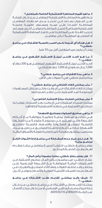# **.3 ما هو تقييم المخاطرة االستثمارية الخاصة بالمتعامل؟**

يتــم تقييــم المخاطــرة االســتثمارية للمتعامــل مــن خــال اإلجابــة علــى اســتبيان يســاعد فــي تحديــد مــدى اســتعداد المتعامــل للمخاطــرة اعتمــادًا علــى عمــره ومســتوى تعليمــه وخبرتــه االســتثمارية وإمكانيــة تحمــل المخاطــرة وعوامــل أخــرى. ويســاعد تحديـد القـدرة علـى المخاطـرة علـى اختيـار المحفظـة االسـتثمارية أو الصناديــق المناســبة لــكل متعامــل.

**.4 هـل هنـاك أي شـروط تخـص العمـر بالنسـبة لالشـتراك فـي برنامـج »خطتـي«؟**

يجب أن يكون عمر المتعامل أقل من 55 عامًا.

**.5 مــا هــو الحــد األدنــى لمبلــغ االســتثمار الشــهري فــي برنامــج » خطتــي « ؟** الحــد األدنــى لمبلــغ االســتثمار الشــهري للمتعامــل هــو 200 دوالر أو 1,000 ريــال ســعودي أو 1,000 درهــم إماراتــي.

> **.6 ما هي مدة االشتراك في برنامج »خطتي«؟** مدة برنامج »خطتي« هي 3 سنوات على األقل.

**.7 متى يمكنني إلغاء اشتراكي في برنامج »خطتي«؟** يمكنــك إلغــاء االشــتراك فــي أي وقــت، ولكــن ســتظل المســاهمات المدفوعــة قيــد االســتثمار حتــى تطلــب اســتردادها.

**.8 متى يمكنني استرداد مبلغ االستثمار الخاص بي؟** يمكنـك اسـترداد اسـتثمارك فـي أي وقـت. بعـد االسـترداد، يتوفـر لـك خيـاران، إمـا االسـتمرار فـي خطتـك االسـتثمارية أو إلغائهـا.

#### **.9 ما هي صناديق الصكوك وصناديق األسهم؟**

هــي صناديــق اســتثمار محليــة وعالميــة متوافقــة مــع أحــكام الشــريعة والتــي تســتثمر فــي مجموعــة متنوعــة مــن الصكــوك (بالنســبة لصناديــق الصكــوك) والأســهـم (بالنســبة لصناديــق الأســهـم). عــادة مــا تتـــم إدارة هــذه الصناديــق عــن طريــق مــدراء محترفيـن يمتلكـون معرفـة كبيـرة وخبـرة طويلـة باألسـواق الماليـة.

**.10 هــل لــدي خيــار عــدم المشــاركة فــي برنامــج إدارة الثــروات التابــع لبرنامــج مزايــا؟** يتوفــر برنامــج «خطتــي» اختياريــاً لجميـــع متعاملـــي مزايــا، ويقــدم لهــم معــدل الخصــم المذكــور.

**.11 هل يعتبر منتج »خطتي« منتجًا مضمونًا برأس المال؟** منتــج »خطتــي« غيــر مضمــون بــرأس المــال. ينطــوي االســتثمار فــي االســتثمارات الماليــة المتوافقــة مــع الشــريعة اإلســامية علــى مخاطـر وقـد تختلـف العوائـد وفقـً ألداء الصناديـق والتغيـرات فـي أســعار صــرف العمــلات الأجنبيــة الغوريــة والأســعار وعوامــل أخــرى.

# **.12 كيــف وأيــن يمكننــي تقديــم طلــب االشــتراك فــي برنامــج » خطتــي « ؟**

يمكنــك تقديــم طلــب الاشــتراك فــي برنامــج «خطتــي» مــن خــلال زيـارة فـروع مصـرف أبـو ظبـي اإلسـامي أو مـن خـال مركـز االتصـال عبــر الرقــم 800200 أو .600543216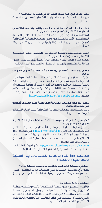# **.3 هل يتوفر لدي خيار عدم االشتراك في الحماية التكافلية؟**

ال يمكنــك إلغــاء خدمــات الحمايــة التكافليــة، فهــي جــزء مــن خدمــات مزايــا.

### **.4 هــل هنــاك أي شــروط تخــص العمــر بالنســبة لالشــتراك فــي الحمايــة التكافليــة ضمــن خدمــات مزايــا؟**

المتعاملــون المؤهلــون لخدمــات الحمايــة التكافليــة هــم المتعاملـون الأفـراد المشـاركون فـي خدمـات الحمايـة التكافليـة ضمــن خدمــات مزايــا والذيــن تتــراوح أعمارهــم بيــن 21 عامــً و59 عامــاً.

# **.5 هــل توجــد فتــرة انتظــار للمتعامــل للحصــول علــى التغطيــة التكافليــة ضمــن خدمــات مزايــا؟**

توجــد فتــرة انتظــار تبلــغ تســعين )90( يومــً تقويميــً تبــدأ اعتبــارًا مــن تاريــخ تشــخيص المــرض العضــال أو الســرطان لــدى اإلنــاث.

# **.6 هــل يوجــد اســتثناءات مــن التغطيــة التكافليــة ضمــن خدمــات مزايـا؟**

لـن يتـم دفـع أي منفعـة تكافليـة إذا كانـت حالـة الوفـاة والعجـز الكلـى الدائـم والأمـراض العضـال والسـرطان المرتبـط بالسـيدات ناتجــة بشــكل مباشــر أو غيــر مباشــر أو كليــً أو جزئيــً كنتيجــة أو مرتبطــة بــأي مــن االســتثناءات المذكــورة فــي شــروط وأحــكام خدمـات الحمايـة التكافليـة ضمـن خدمـات مزايـا، المتوفـرة عبـر .http://www.adib.ae/en/personal/accounts الرابــط

#### **.7 هــل تتوقــف خدمــات الحمايــة التكافليــة عنــد إلغــاء االشــتراك فــي خدمــات مزايــا؟**

نعـم، سـتتوقف خدمـات الحمايـة التكافليـة عنـد إلغـاء االشـتراك فـي خدمـات مزايـا.

# **.8 كيــف يمكننــي تقديــم مطالبــات خدمــات الحمايــة التكافليــة ضمــن خدمــات مزايــا؟**

يجـب إرسـال المطالبـات إلـى شـركة أبـو ظبـي الوطنيـة للتكافـل علــى البريــد الالكترونــي: Life.Claims@takaful.ae فــي غضــون 180 يومــً تقويميــً مــن تاريــخ الحــدث. للمزيــد مــن التفاصيــل، يرجــى االطـاع علـى أحـكام وشـروط خدمـات الحمايـة التكافليـة ضمـن برنامـج مزايـا عبـر الرابـط

 التواصل يمكنـك كمـا .http://www.adib.ae/en/personal/accounts معنـا عبر خدمتنـا المصرفية الهاتفيـة. اتصـل 600543216

خدمــات إدارة الثــروات ضمــن خدمــات مزايــا - أســئلة المتعامليــن المتكــررة

# **.1 ما هي مميزات إدارة الثروات المتوفرة ضمن خدمات مزايا؟**

يحــق لأى متعامــل مشــترك فــي خدمــات مزايــا الحصــول علــى خصــم بمعــدل 25٪ علــى رســوم الاشــتراك الخــاص فــى برنامــج »خطتــي«.

## **.2 ما هو برنامج »خطتي«؟**

برنامــج «خطتــي» هــو خطــة اســتثمارية تقــوم بخصــم مبلــغ شــهري مــن حســابك، ثــم يتــم اســتثماره إمــا ضمــن محفظــة اسـتثمارية أو مباشـرة فـي الصناديـق المشـتركة وفقـً الختيـارك، والتـي يجـب أن تتطابـق فـي كلتـا الحالتيـن مـع تقييـم المخاطـرة 3 4 االســتثمارية الخاصــة بــك.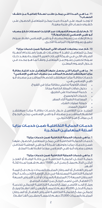#### **.11 مــا هــي المــدة التــي يمكــن طلــب نســخة إضافيــة مــن كشــف الحســاب؟**

ال توجـد قيـود علـى المـدة، حيـث يمكـن للمتعامـل الحصـول علـى كشـوف حسـاب لأى فتـرة معينـة.

# **.12 كـم تبلـغ رسـوم التحويـات عبـر اإلنترنـت لحسـابات خـارج مصـرف أبـو ظبـي اإلسـامي )خـارج الدولـة(؟**

يتـم اإلعفـاء مـن رسـوم مصـرف أبـو ظبـي اإلسـامي فقـط، سـيتم تطبيـق رسـوم البنـوك المراسـلة األخـرى.

**.13 كم عدد معامالت الصراف اآللي المجانية ضمن خدمات مزايا؟** يمكــن للمتعامــل تنفيــذ 4 معامــات شــهريًا باســتخدام أجهــزة الصــراف اآللــي فــي شــبكة اإلمــارات العربيــة المتحــدة، وبعــد ذلــك ســيتم تحصيــل رســوم مــن المتعامــل وفقــً لمــا هــو محــدد فــي جــدول الرســوم المعلــن.

# **.14 مـا هـي المزايـا التـي يحصـل عليهـا المتعامـل عنـد اختيـار بطاقـة مزايـا سيغنتشـر للخصـم المباشـر مـن مصـرف أبـو ظبـي اإلسـامي؟**

خدمـات بطاقـة مزايـا سيغنتشـر للخصـم المباشـر مـن مصـرف أبـو ظبـي الإسـلامي هـي:

- - - -
			- - -

للمزيــد مــن التفاصيــل حــول خدمــات بطاقــة مزايــا سيغنتشــر **.** الضمان الممدد. **.** حماية عمليات الشراء. **.** المساعدة الطبية أثناء السفر. **.** خدمات الكونسيرج. **.** خدمة المساعدة على الطريق. **.** دخول صاالت المطار الخاصة مجانًا. **.** إعطاء األولوية لحاملي بطاقة مزايا في الفروع. للخصــم المباشــر مــن مصــرف أبــو ظبــي اإلســامي، يرجــى الرجــوع إلــى موقـــع فيــزا الإلكترونــى.

# **خدمــات الحمايــة التكافليــة ضمــن خدمــات مزايــا أســئلة المتعامليــن المتكــررة**

# **.1 ما هي خدمات الحماية التكافلية ضمن خدمات مزايا؟**

خدمـات الحمايـة التكافليـة التـي يمكـن للمتعامـل الحصـول عليهـا ضمـن خدمـات مزايـا، وتوفرهـا شـركة أبـو ظبـي الوطنيـة للتكافـل ويعتبـر مصـرف أبـو ظبــى الإسـلامـى موزعـاً فقـط لهـذا المنتـج.

# **.2 ما هي خدمات الحماية التكافلية ضمن خدمات مزايا؟**

حمايــة الدخــل: الحمايــة التكافليــة فــي حالــة الوفــاة أو العجــز الكلــي الدائــم بمبلــغ يصــل الــى 15000 درهــم شــهريا لمــدة ثالثــة أشــهر.

المــرض العضــال أو الســرطان المرتبــط بالســيدات: يتــم دفــع قيمــة الحمايـة التكافليـة المسـتحقة فـي حـال اإلصابـة األولـى بأحـد أنـواع السـرطان السـبعة (7) المرتبطـة بالسـيدات أو أحـد الأمـراض السـبعة )7( العضـال التـي تصيـب الرجـال مـن أعضـاء البرنامـج.

ويبلـــغ الحــد الأقصــى لمبلـــغ الحمايــة التكافليــة الإجمالــى لخـدمــة حمايــة الدخــل 45,000 درهــم (خمســة وأربعيــن ألفــاً فقـط) ويبلــغ إجمالــي مبلــغ الحمايــة التكافليــة لألمــراض العضــال أو الســرطان المرتبــط بالســيدات 25,000 درهــم (خمســة وعشــرين ألفــاً فقــط).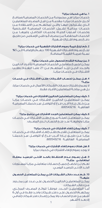# **.1 ما هي خدمات مزايا؟**

خدمـات مزايـا هـي مجموعـة مـن الخدمـات المصرفيـة ومنافـع أخــرى »خدمــات مزايــا« مقدمــة مــن قبــل المصــرف للمتعامليــن الــذي يشــتركون فيهــا والتــي تمكنهــم مــن االســتفادة مــن خدمــات مجانيــة تشــمل: الخدمــات المصرفيــة الشــخصية وخدمــات أســلوب الحيــاة وخدمــات التكافــل، وغيرهــا مــن الخدمـات المخفضـة مـن مصـرف أبـو ظبـي اإلسـامي عـن طريـق دفــع رســوم اشــتراك شــهرية.

**.2 كم تبلغ قيمة رسوم االشتراك الشهرية في خدمات مزايا؟** تبلــغ رســوم االشــتراك الشــهرية 100 درهــم باإلضافــة الــى **%**5 نســبة ضريبــة القيمــة المضافــة.

#### **3 َ . من يمكنه التقدم للحصول على خدمات مزايا؟**

يمكـن لجميـع متعاملـي الخدمـات المصرفيـة لألفـراد الحالييـن والجــدد الذيــن تزيــد أعمارهــم عــن 21 ً عامــا التقــدم بطلــب االشــتراك فــي خدمــات مزايــا.

#### **.4 هــل يمكــن لحســاب الشــركات طلــب االشــتراك فــي خدمــات مزايــا؟**

ُال يسـمح باشـتراك حسـابات الشـركات/األعمال فـي خدمـات مزايا، بـل هـي متاحــة للمتعامليـن الأفـراد فقـط.

#### **.5 كيف يمكن للمتعاملين الحاليين االشتراك في خدمات مزايا؟**

يمكــن للمتعامليــن الحالييــن االشــتراك فــي خدمــات مزايــا مــن خــال زيــارة أقــرب فــرع أو التواصــل عبــر خدمتنــا المصرفيــة الهاتفيــة .600543216

# **.6 كيف يمكن للمتعاملين الجدد االشتراك في برنامج مزايا؟**

يمكــن للمتعامــل تعبئــة نمــوذج طلــب االشــتراك فــي خدمــات مزايــا وتوقيعــه عنــد فتــح الحســاب لــدى المصــرف.

#### **.7 كيف يمكن إلغاء االشتراك في خدمات مزايا؟**

يمكــن للمتعامــل تقديــم طلــب إلغــاء االشــتراك فــي خدمــات مزايــا عــن طريــق زيــارة أقــرب فــرع أو التواصــل عبــر خدمتنــا المصرفيــة الهاتفيــة .600543216

# **.8 هل هناك رسوم إلغاء اإلشترك في خدمات مزايا؟** ال يوجد رسوم إللغاء االشتراك في خدمات مزايا

**.9 هــل رســوم عــدم االحتفــاظ بالحــد األدنــى للرصيــد معفــاة لمتعاملــي مزايــا؟** نعــم، لــن تخضــع جميــع حســابات متعاملــي مزايــا لمســتويات الحــد الأدنــى للرصيــد اليومــي.

# **.10 كــم عــدد دفاتــر الشــيكات التــي يمكــن للمتعامــل الحصــول عليهــا؟** يمكــن للمتعامليــن الحالييــن الحصــول علــى عــدد غيــر محــدود مــن دفاتــر الشــيكات. أمــا المتعامليــن الجــدد، فوفقــً للوائــح المصــرف المركــزي، يمكنهــم الحصــول علــى دفتــر شــيكات واحــد فقــط فــي أول 6 أشـهر مـن فتـح الحسـاب، وال يمكـن إصـدار دفتـر شـيكات إضافـي <sup>1</sup> <sup>2</sup> إال بعــد 6 أشــهر.